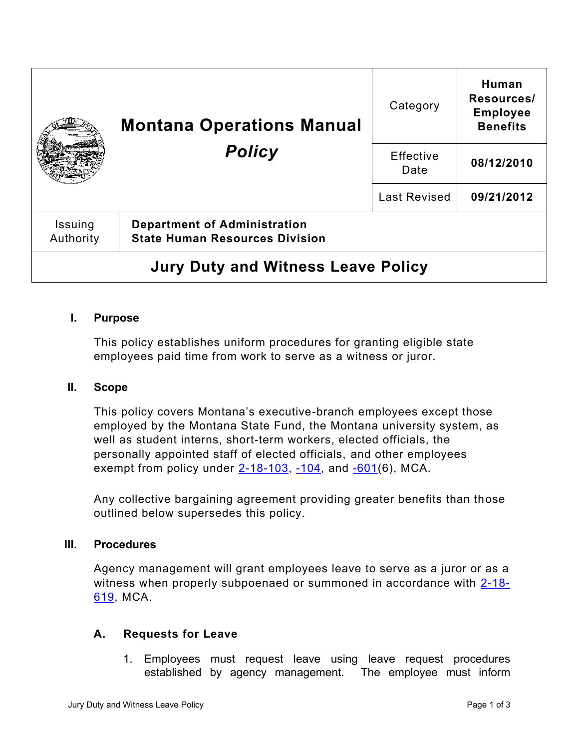|                                           | <b>Montana Operations Manual</b><br><b>Policy</b>                            | Category            | Human<br>Resources/<br><b>Employee</b><br><b>Benefits</b> |
|-------------------------------------------|------------------------------------------------------------------------------|---------------------|-----------------------------------------------------------|
|                                           |                                                                              | Effective<br>Date   | 08/12/2010                                                |
|                                           |                                                                              | <b>Last Revised</b> | 09/21/2012                                                |
| Issuing<br>Authority                      | <b>Department of Administration</b><br><b>State Human Resources Division</b> |                     |                                                           |
| <b>Jury Duty and Witness Leave Policy</b> |                                                                              |                     |                                                           |

# **I. Purpose**

This policy establishes uniform procedures for granting eligible state employees paid time from work to serve as a witness or juror.

### **II. Scope**

This policy covers Montana's executive-branch employees except those employed by the Montana State Fund, the Montana university system, as well as student interns, short-term workers, elected officials, the personally appointed staff of elected officials, and other employees exempt from policy under  $2-18-103$ ,  $-104$ , and  $-601(6)$ , MCA.

Any collective bargaining agreement providing greater benefits than those outlined below supersedes this policy.

#### **III. Procedures**

Agency management will grant employees leave to serve as a juror or as a witness when properly subpoenaed or summoned in accordance with [2-18-](https://leg.mt.gov/bills/mca/title_0020/chapter_0180/part_0060/section_0190/0020-0180-0060-0190.html) [619,](https://leg.mt.gov/bills/mca/title_0020/chapter_0180/part_0060/section_0190/0020-0180-0060-0190.html) MCA.

### **A. Requests for Leave**

1. Employees must request leave using leave request procedures established by agency management. The employee must inform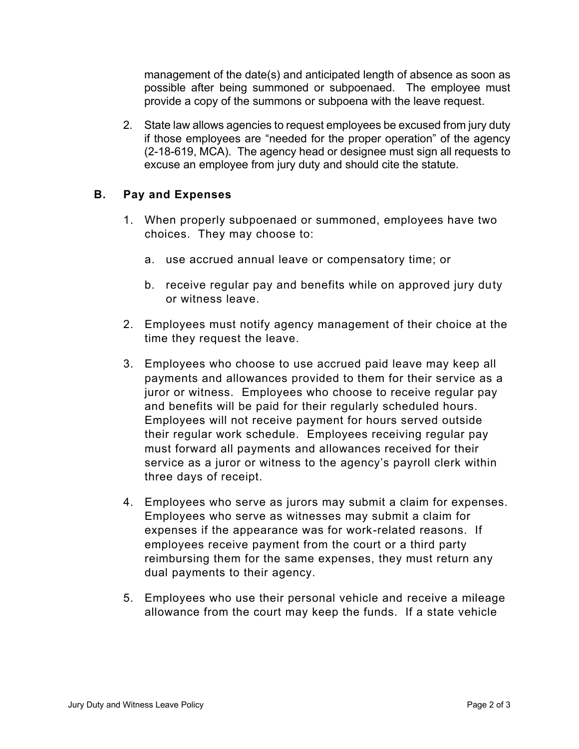management of the date(s) and anticipated length of absence as soon as possible after being summoned or subpoenaed. The employee must provide a copy of the summons or subpoena with the leave request.

2. State law allows agencies to request employees be excused from jury duty if those employees are "needed for the proper operation" of the agency [\(2-18-619,](https://leg.mt.gov/bills/mca/title_0020/chapter_0180/part_0060/section_0190/0020-0180-0060-0190.html) MCA). The agency head or designee must sign all requests to excuse an employee from jury duty and should cite the statute.

# **B. Pay and Expenses**

- 1. When properly subpoenaed or summoned, employees have two choices. They may choose to:
	- a. use accrued annual leave or compensatory time; or
	- b. receive regular pay and benefits while on approved jury duty or witness leave.
- 2. Employees must notify agency management of their choice at the time they request the leave.
- 3. Employees who choose to use accrued paid leave may keep all payments and allowances provided to them for their service as a juror or witness. Employees who choose to receive regular pay and benefits will be paid for their regularly scheduled hours. Employees will not receive payment for hours served outside their regular work schedule. Employees receiving regular pay must forward all payments and allowances received for their service as a juror or witness to the agency's payroll clerk within three days of receipt.
- 4. Employees who serve as jurors may submit a claim for expenses. Employees who serve as witnesses may submit a claim for expenses if the appearance was for work-related reasons. If employees receive payment from the court or a third party reimbursing them for the same expenses, they must return any dual payments to their agency.
- 5. Employees who use their personal vehicle and receive a mileage allowance from the court may keep the funds. If a state vehicle